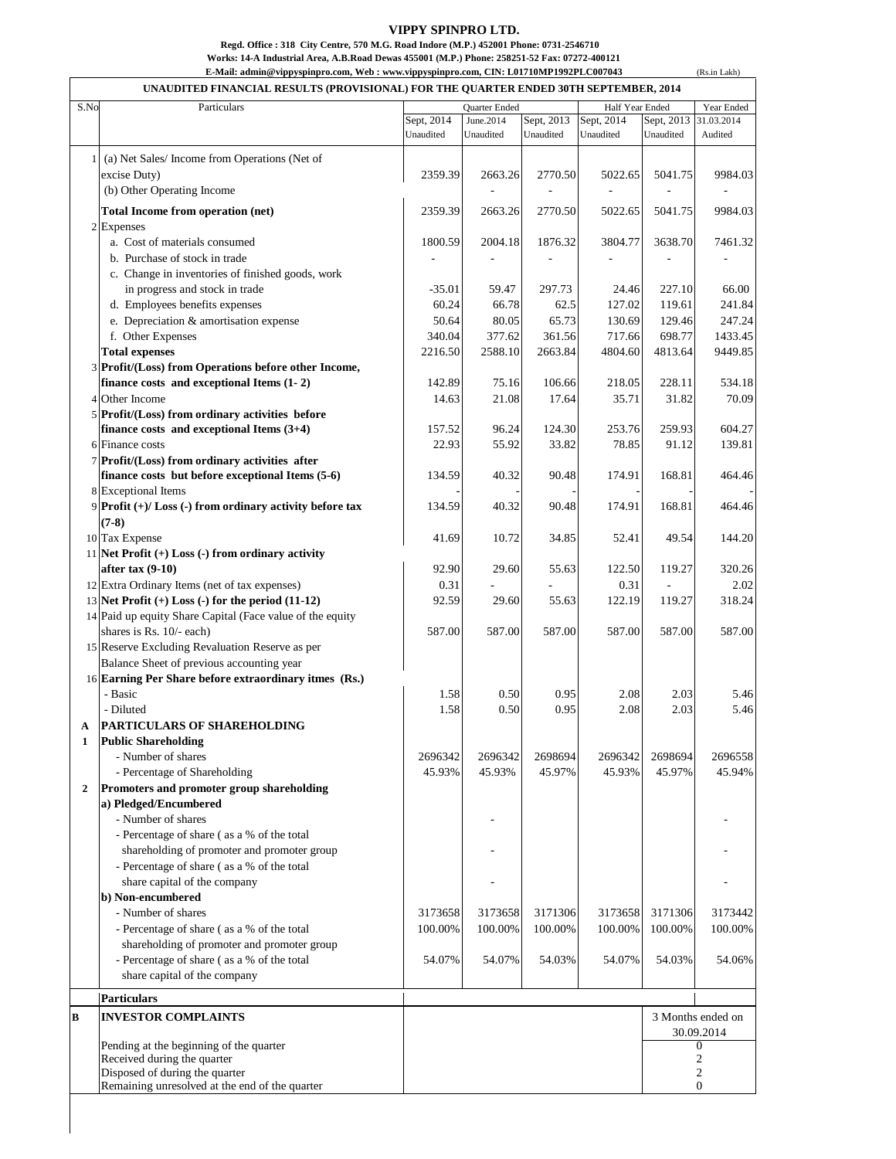## **VIPPY SPINPRO LTD.**

(Rs.in Lakh)

**Regd. Office : 318 City Centre, 570 M.G. Road Indore (M.P.) 452001 Phone: 0731-2546710**

**Works: 14-A Industrial Area, A.B.Road Dewas 455001 (M.P.) Phone: 258251-52 Fax: 07272-400121**

**E-Mail: [admin@vippyspinpro.com,](mailto:admin@vippyspinpro.com,) Web : [www.vippyspinpro.com,](http://www.vippyspinpro.com,) CIN: L01710MP1992PLC007043**

|                  | UNAUDITED FINANCIAL RESULTS (PROVISIONAL) FOR THE QUARTER ENDED 30TH SEPTEMBER, 2014      |                                         |                        |                         |                         |                         |                        |
|------------------|-------------------------------------------------------------------------------------------|-----------------------------------------|------------------------|-------------------------|-------------------------|-------------------------|------------------------|
| S.No             | Particulars                                                                               | <b>Quarter Ended</b><br>Half Year Ended |                        | Year Ended              |                         |                         |                        |
|                  |                                                                                           | Sept, 2014<br>Unaudited                 | June.2014<br>Unaudited | Sept, 2013<br>Unaudited | Sept, 2014<br>Unaudited | Sept, 2013<br>Unaudited | 31.03.2014<br>Audited  |
|                  |                                                                                           |                                         |                        |                         |                         |                         |                        |
|                  | (a) Net Sales/ Income from Operations (Net of                                             |                                         |                        |                         |                         |                         |                        |
|                  | excise Duty)                                                                              | 2359.39                                 | 2663.26                | 2770.50                 | 5022.65                 | 5041.75                 | 9984.03                |
|                  | (b) Other Operating Income                                                                |                                         |                        | L,                      | ÷,                      |                         | ÷,                     |
|                  | Total Income from operation (net)                                                         | 2359.39                                 | 2663.26                | 2770.50                 | 5022.65                 | 5041.75                 | 9984.03                |
|                  | 2 Expenses                                                                                |                                         |                        |                         |                         |                         |                        |
|                  | a. Cost of materials consumed                                                             | 1800.59                                 | 2004.18                | 1876.32                 | 3804.77                 | 3638.70                 | 7461.32                |
|                  | b. Purchase of stock in trade                                                             |                                         |                        |                         |                         |                         |                        |
|                  | c. Change in inventories of finished goods, work                                          |                                         |                        |                         |                         |                         |                        |
|                  | in progress and stock in trade                                                            | $-35.01$                                | 59.47                  | 297.73                  | 24.46                   | 227.10                  | 66.00                  |
|                  | d. Employees benefits expenses<br>e. Depreciation & amortisation expense                  | 60.24<br>50.64                          | 66.78<br>80.05         | 62.5<br>65.73           | 127.02<br>130.69        | 119.61<br>129.46        | 241.84<br>247.24       |
|                  | f. Other Expenses                                                                         | 340.04                                  | 377.62                 | 361.56                  | 717.66                  | 698.77                  | 1433.45                |
|                  | <b>Total expenses</b>                                                                     | 2216.50                                 | 2588.10                | 2663.84                 | 4804.60                 | 4813.64                 | 9449.85                |
|                  | 3 Profit/(Loss) from Operations before other Income,                                      |                                         |                        |                         |                         |                         |                        |
|                  | finance costs and exceptional Items (1-2)                                                 | 142.89                                  | 75.16                  | 106.66                  | 218.05                  | 228.11                  | 534.18                 |
|                  | 4 Other Income                                                                            | 14.63                                   | 21.08                  | 17.64                   | 35.71                   | 31.82                   | 70.09                  |
|                  | 5 Profit/(Loss) from ordinary activities before                                           |                                         |                        |                         |                         |                         |                        |
|                  | finance costs and exceptional Items $(3+4)$                                               | 157.52                                  | 96.24                  | 124.30                  | 253.76                  | 259.93                  | 604.27                 |
|                  | 6 Finance costs                                                                           | 22.93                                   | 55.92                  | 33.82                   | 78.85                   | 91.12                   | 139.81                 |
|                  | 7 Profit/(Loss) from ordinary activities after                                            |                                         |                        |                         |                         |                         |                        |
|                  | finance costs but before exceptional Items (5-6)                                          | 134.59                                  | 40.32                  | 90.48                   | 174.91                  | 168.81                  | 464.46                 |
|                  | 8 Exceptional Items                                                                       |                                         |                        |                         |                         |                         |                        |
|                  | 9 Profit (+)/ Loss (-) from ordinary activity before tax<br>$(7-8)$                       | 134.59                                  | 40.32                  | 90.48                   | 174.91                  | 168.81                  | 464.46                 |
|                  | 10 Tax Expense                                                                            | 41.69                                   | 10.72                  | 34.85                   | 52.41                   | 49.54                   | 144.20                 |
|                  | 11 Net Profit $(+)$ Loss $(-)$ from ordinary activity                                     |                                         |                        |                         |                         |                         |                        |
|                  | after $tax(9-10)$                                                                         | 92.90                                   | 29.60                  | 55.63                   | 122.50                  | 119.27                  | 320.26                 |
|                  | 12 Extra Ordinary Items (net of tax expenses)                                             | 0.31                                    |                        |                         | 0.31                    |                         | 2.02                   |
|                  | 13 Net Profit $(+)$ Loss $(-)$ for the period $(11-12)$                                   | 92.59                                   | 29.60                  | 55.63                   | 122.19                  | 119.27                  | 318.24                 |
|                  | 14 Paid up equity Share Capital (Face value of the equity                                 |                                         |                        |                         |                         |                         |                        |
|                  | shares is Rs. 10/- each)                                                                  | 587.00                                  | 587.00                 | 587.00                  | 587.00                  | 587.00                  | 587.00                 |
|                  | 15 Reserve Excluding Revaluation Reserve as per                                           |                                         |                        |                         |                         |                         |                        |
|                  | Balance Sheet of previous accounting year                                                 |                                         |                        |                         |                         |                         |                        |
|                  | 16 Earning Per Share before extraordinary itmes (Rs.)                                     |                                         |                        |                         |                         |                         |                        |
|                  | - Basic                                                                                   | 1.58                                    | 0.50                   | 0.95                    | 2.08                    | 2.03                    | 5.46                   |
|                  | - Diluted<br><b>PARTICULARS OF SHAREHOLDING</b>                                           | 1.58                                    | 0.50                   | 0.95                    | 2.08                    | 2.03                    | 5.46                   |
| A<br>1           | Public Shareholding                                                                       |                                         |                        |                         |                         |                         |                        |
|                  | - Number of shares                                                                        | 2696342                                 | 2696342                | 2698694                 | 2696342                 | 2698694                 | 2696558                |
|                  | - Percentage of Shareholding                                                              | 45.93%                                  | 45.93%                 | 45.97%                  | 45.93%                  | 45.97%                  | 45.94%                 |
| $\boldsymbol{2}$ | Promoters and promoter group shareholding                                                 |                                         |                        |                         |                         |                         |                        |
|                  | a) Pledged/Encumbered                                                                     |                                         |                        |                         |                         |                         |                        |
|                  | - Number of shares                                                                        |                                         |                        |                         |                         |                         |                        |
|                  | - Percentage of share (as a % of the total                                                |                                         |                        |                         |                         |                         |                        |
|                  | shareholding of promoter and promoter group                                               |                                         |                        |                         |                         |                         |                        |
|                  | - Percentage of share (as a % of the total                                                |                                         |                        |                         |                         |                         |                        |
|                  | share capital of the company                                                              |                                         |                        |                         |                         |                         |                        |
|                  | b) Non-encumbered                                                                         |                                         |                        |                         |                         |                         |                        |
|                  | - Number of shares                                                                        | 3173658                                 | 3173658                | 3171306                 | 3173658                 | 3171306                 | 3173442                |
|                  | - Percentage of share (as a % of the total<br>shareholding of promoter and promoter group | 100.00%                                 | 100.00%                | 100.00%                 | 100.00%                 | 100.00%                 | 100.00%                |
|                  | - Percentage of share (as a % of the total                                                | 54.07%                                  | 54.07%                 | 54.03%                  | 54.07%                  | 54.03%                  | 54.06%                 |
|                  | share capital of the company                                                              |                                         |                        |                         |                         |                         |                        |
|                  |                                                                                           |                                         |                        |                         |                         |                         |                        |
|                  | <b>Particulars</b>                                                                        |                                         |                        |                         |                         |                         |                        |
| B                | <b>INVESTOR COMPLAINTS</b>                                                                |                                         |                        |                         |                         |                         | 3 Months ended on      |
|                  | Pending at the beginning of the quarter                                                   |                                         |                        |                         |                         |                         | 30.09.2014<br>$\theta$ |
|                  | Received during the quarter                                                               |                                         |                        |                         |                         |                         | $\boldsymbol{2}$       |
|                  | Disposed of during the quarter                                                            |                                         |                        |                         |                         |                         | $\overline{c}$         |
|                  | Remaining unresolved at the end of the quarter                                            |                                         |                        |                         |                         |                         | $\overline{0}$         |